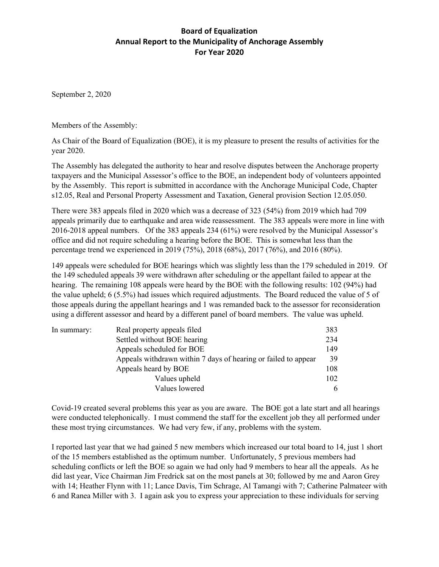## **Board of Equalization Annual Report to the Municipality of Anchorage Assembly For Year 2020**

September 2, 2020

Members of the Assembly:

As Chair of the Board of Equalization (BOE), it is my pleasure to present the results of activities for the year 2020.

The Assembly has delegated the authority to hear and resolve disputes between the Anchorage property taxpayers and the Municipal Assessor's office to the BOE, an independent body of volunteers appointed by the Assembly. This report is submitted in accordance with the Anchorage Municipal Code, Chapter s12.05, Real and Personal Property Assessment and Taxation, General provision Section 12.05.050.

There were 383 appeals filed in 2020 which was a decrease of 323 (54%) from 2019 which had 709 appeals primarily due to earthquake and area wide reassessment. The 383 appeals were more in line with 2016-2018 appeal numbers. Of the 383 appeals 234 (61%) were resolved by the Municipal Assessor's office and did not require scheduling a hearing before the BOE. This is somewhat less than the percentage trend we experienced in 2019 (75%), 2018 (68%), 2017 (76%), and 2016 (80%).

149 appeals were scheduled for BOE hearings which was slightly less than the 179 scheduled in 2019. Of the 149 scheduled appeals 39 were withdrawn after scheduling or the appellant failed to appear at the hearing. The remaining 108 appeals were heard by the BOE with the following results: 102 (94%) had the value upheld; 6 (5.5%) had issues which required adjustments. The Board reduced the value of 5 of those appeals during the appellant hearings and 1 was remanded back to the assessor for reconsideration using a different assessor and heard by a different panel of board members. The value was upheld.

| In summary: | Real property appeals filed                                    | 383 |
|-------------|----------------------------------------------------------------|-----|
|             | Settled without BOE hearing                                    | 234 |
|             | Appeals scheduled for BOE                                      | 149 |
|             | Appeals withdrawn within 7 days of hearing or failed to appear | 39  |
|             | Appeals heard by BOE                                           | 108 |
|             | Values upheld                                                  | 102 |
|             | Values lowered                                                 | 6   |

Covid-19 created several problems this year as you are aware. The BOE got a late start and all hearings were conducted telephonically. I must commend the staff for the excellent job they all performed under these most trying circumstances. We had very few, if any, problems with the system.

I reported last year that we had gained 5 new members which increased our total board to 14, just 1 short of the 15 members established as the optimum number. Unfortunately, 5 previous members had scheduling conflicts or left the BOE so again we had only had 9 members to hear all the appeals. As he did last year, Vice Chairman Jim Fredrick sat on the most panels at 30; followed by me and Aaron Grey with 14; Heather Flynn with 11; Lance Davis, Tim Schrage, Al Tamangi with 7; Catherine Palmateer with 6 and Ranea Miller with 3. I again ask you to express your appreciation to these individuals for serving